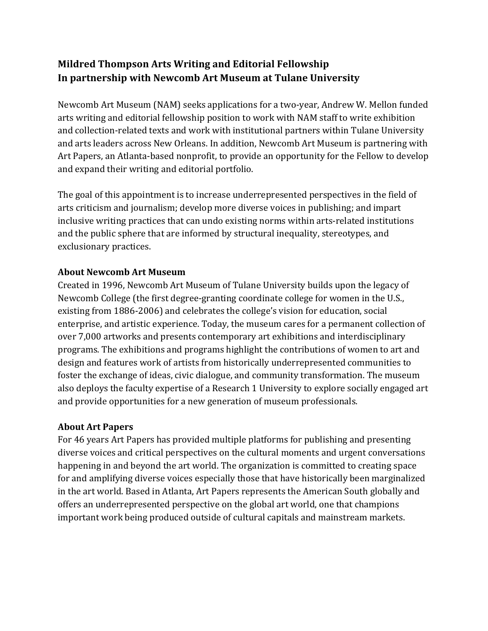# **Mildred Thompson Arts Writing and Editorial Fellowship** In partnership with Newcomb Art Museum at Tulane University

Newcomb Art Museum (NAM) seeks applications for a two-year, Andrew W. Mellon funded arts writing and editorial fellowship position to work with NAM staff to write exhibition and collection-related texts and work with institutional partners within Tulane University and arts leaders across New Orleans. In addition, Newcomb Art Museum is partnering with Art Papers, an Atlanta-based nonprofit, to provide an opportunity for the Fellow to develop and expand their writing and editorial portfolio.

The goal of this appointment is to increase underrepresented perspectives in the field of arts criticism and journalism; develop more diverse voices in publishing; and impart inclusive writing practices that can undo existing norms within arts-related institutions and the public sphere that are informed by structural inequality, stereotypes, and exclusionary practices.

#### **About Newcomb Art Museum**

Created in 1996, Newcomb Art Museum of Tulane University builds upon the legacy of Newcomb College (the first degree-granting coordinate college for women in the U.S., existing from 1886-2006) and celebrates the college's vision for education, social enterprise, and artistic experience. Today, the museum cares for a permanent collection of over 7,000 artworks and presents contemporary art exhibitions and interdisciplinary programs. The exhibitions and programs highlight the contributions of women to art and design and features work of artists from historically underrepresented communities to foster the exchange of ideas, civic dialogue, and community transformation. The museum also deploys the faculty expertise of a Research 1 University to explore socially engaged art and provide opportunities for a new generation of museum professionals.

#### **About Art Papers**

For 46 years Art Papers has provided multiple platforms for publishing and presenting diverse voices and critical perspectives on the cultural moments and urgent conversations happening in and beyond the art world. The organization is committed to creating space for and amplifying diverse voices especially those that have historically been marginalized in the art world. Based in Atlanta, Art Papers represents the American South globally and offers an underrepresented perspective on the global art world, one that champions important work being produced outside of cultural capitals and mainstream markets.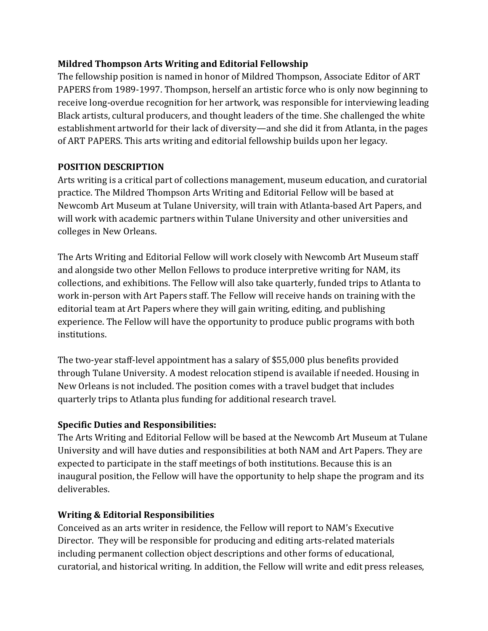### **Mildred Thompson Arts Writing and Editorial Fellowship**

The fellowship position is named in honor of Mildred Thompson, Associate Editor of ART PAPERS from 1989-1997. Thompson, herself an artistic force who is only now beginning to receive long-overdue recognition for her artwork, was responsible for interviewing leading Black artists, cultural producers, and thought leaders of the time. She challenged the white establishment artworld for their lack of diversity—and she did it from Atlanta, in the pages of ART PAPERS. This arts writing and editorial fellowship builds upon her legacy.

### **POSITION DESCRIPTION**

Arts writing is a critical part of collections management, museum education, and curatorial practice. The Mildred Thompson Arts Writing and Editorial Fellow will be based at Newcomb Art Museum at Tulane University, will train with Atlanta-based Art Papers, and will work with academic partners within Tulane University and other universities and colleges in New Orleans.

The Arts Writing and Editorial Fellow will work closely with Newcomb Art Museum staff and alongside two other Mellon Fellows to produce interpretive writing for NAM, its collections, and exhibitions. The Fellow will also take quarterly, funded trips to Atlanta to work in-person with Art Papers staff. The Fellow will receive hands on training with the editorial team at Art Papers where they will gain writing, editing, and publishing experience. The Fellow will have the opportunity to produce public programs with both institutions.

The two-year staff-level appointment has a salary of \$55,000 plus benefits provided through Tulane University. A modest relocation stipend is available if needed. Housing in New Orleans is not included. The position comes with a travel budget that includes quarterly trips to Atlanta plus funding for additional research travel.

# **Specific Duties and Responsibilities:**

The Arts Writing and Editorial Fellow will be based at the Newcomb Art Museum at Tulane University and will have duties and responsibilities at both NAM and Art Papers. They are expected to participate in the staff meetings of both institutions. Because this is an inaugural position, the Fellow will have the opportunity to help shape the program and its deliverables.

# **Writing & Editorial Responsibilities**

Conceived as an arts writer in residence, the Fellow will report to NAM's Executive Director. They will be responsible for producing and editing arts-related materials including permanent collection object descriptions and other forms of educational, curatorial, and historical writing. In addition, the Fellow will write and edit press releases,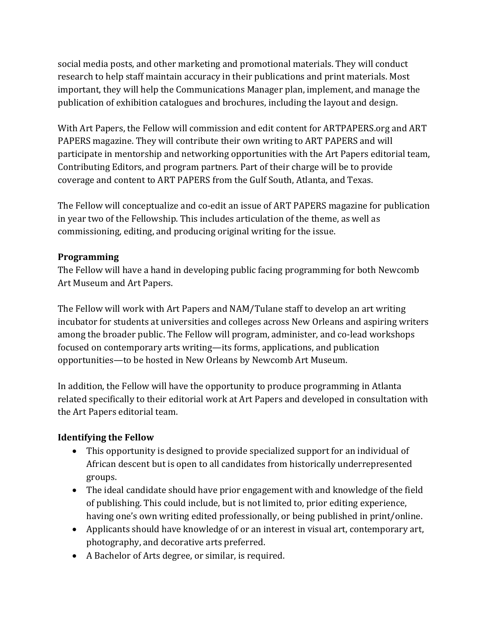social media posts, and other marketing and promotional materials. They will conduct research to help staff maintain accuracy in their publications and print materials. Most important, they will help the Communications Manager plan, implement, and manage the publication of exhibition catalogues and brochures, including the layout and design.

With Art Papers, the Fellow will commission and edit content for ARTPAPERS.org and ART PAPERS magazine. They will contribute their own writing to ART PAPERS and will participate in mentorship and networking opportunities with the Art Papers editorial team, Contributing Editors, and program partners. Part of their charge will be to provide coverage and content to ART PAPERS from the Gulf South, Atlanta, and Texas.

The Fellow will conceptualize and co-edit an issue of ART PAPERS magazine for publication in year two of the Fellowship. This includes articulation of the theme, as well as commissioning, editing, and producing original writing for the issue.

### **Programming**

The Fellow will have a hand in developing public facing programming for both Newcomb Art Museum and Art Papers.

The Fellow will work with Art Papers and NAM/Tulane staff to develop an art writing incubator for students at universities and colleges across New Orleans and aspiring writers among the broader public. The Fellow will program, administer, and co-lead workshops focused on contemporary arts writing—its forms, applications, and publication opportunities—to be hosted in New Orleans by Newcomb Art Museum.

In addition, the Fellow will have the opportunity to produce programming in Atlanta related specifically to their editorial work at Art Papers and developed in consultation with the Art Papers editorial team.

# **Identifying the Fellow**

- This opportunity is designed to provide specialized support for an individual of African descent but is open to all candidates from historically underrepresented groups.
- The ideal candidate should have prior engagement with and knowledge of the field of publishing. This could include, but is not limited to, prior editing experience, having one's own writing edited professionally, or being published in print/online.
- Applicants should have knowledge of or an interest in visual art, contemporary art, photography, and decorative arts preferred.
- A Bachelor of Arts degree, or similar, is required.